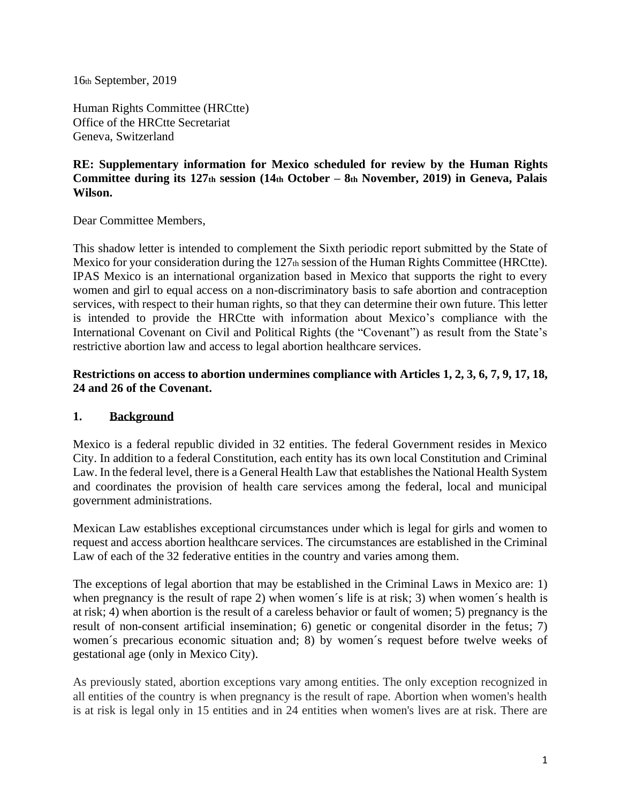16th September, 2019

Human Rights Committee (HRCtte) Office of the HRCtte Secretariat Geneva, Switzerland

## **RE: Supplementary information for Mexico scheduled for review by the Human Rights Committee during its 127th session (14th October – 8th November, 2019) in Geneva, Palais Wilson.**

Dear Committee Members,

This shadow letter is intended to complement the Sixth periodic report submitted by the State of Mexico for your consideration during the 127th session of the Human Rights Committee (HRCtte). IPAS Mexico is an international organization based in Mexico that supports the right to every women and girl to equal access on a non-discriminatory basis to safe abortion and contraception services, with respect to their human rights, so that they can determine their own future. This letter is intended to provide the HRCtte with information about Mexico's compliance with the International Covenant on Civil and Political Rights (the "Covenant") as result from the State's restrictive abortion law and access to legal abortion healthcare services.

**Restrictions on access to abortion undermines compliance with Articles 1, 2, 3, 6, 7, 9, 17, 18, 24 and 26 of the Covenant.** 

## **1. Background**

Mexico is a federal republic divided in 32 entities. The federal Government resides in Mexico City. In addition to a federal Constitution, each entity has its own local Constitution and Criminal Law. In the federal level, there is a General Health Law that establishes the National Health System and coordinates the provision of health care services among the federal, local and municipal government administrations.

Mexican Law establishes exceptional circumstances under which is legal for girls and women to request and access abortion healthcare services. The circumstances are established in the Criminal Law of each of the 32 federative entities in the country and varies among them.

The exceptions of legal abortion that may be established in the Criminal Laws in Mexico are: 1) when pregnancy is the result of rape 2) when women's life is at risk; 3) when women's health is at risk; 4) when abortion is the result of a careless behavior or fault of women; 5) pregnancy is the result of non-consent artificial insemination; 6) genetic or congenital disorder in the fetus; 7) women´s precarious economic situation and; 8) by women´s request before twelve weeks of gestational age (only in Mexico City).

As previously stated, abortion exceptions vary among entities. The only exception recognized in all entities of the country is when pregnancy is the result of rape. Abortion when women's health is at risk is legal only in 15 entities and in 24 entities when women's lives are at risk. There are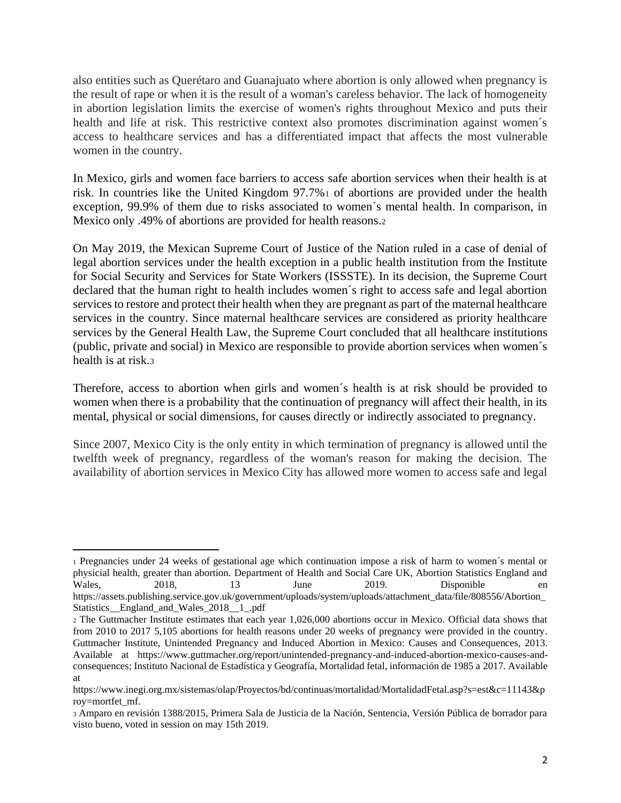also entities such as Querétaro and Guanajuato where abortion is only allowed when pregnancy is the result of rape or when it is the result of a woman's careless behavior. The lack of homogeneity in abortion legislation limits the exercise of women's rights throughout Mexico and puts their health and life at risk. This restrictive context also promotes discrimination against women's access to healthcare services and has a differentiated impact that affects the most vulnerable women in the country.

In Mexico, girls and women face barriers to access safe abortion services when their health is at risk. In countries like the United Kingdom 97.7%<sup>1</sup> of abortions are provided under the health exception, 99.9% of them due to risks associated to women´s mental health. In comparison, in Mexico only .49% of abortions are provided for health reasons.<sup>2</sup>

On May 2019, the Mexican Supreme Court of Justice of the Nation ruled in a case of denial of legal abortion services under the health exception in a public health institution from the Institute for Social Security and Services for State Workers (ISSSTE). In its decision, the Supreme Court declared that the human right to health includes women´s right to access safe and legal abortion services to restore and protect their health when they are pregnant as part of the maternal healthcare services in the country. Since maternal healthcare services are considered as priority healthcare services by the General Health Law, the Supreme Court concluded that all healthcare institutions (public, private and social) in Mexico are responsible to provide abortion services when women´s health is at risk.<sup>3</sup>

Therefore, access to abortion when girls and women´s health is at risk should be provided to women when there is a probability that the continuation of pregnancy will affect their health, in its mental, physical or social dimensions, for causes directly or indirectly associated to pregnancy.

Since 2007, Mexico City is the only entity in which termination of pregnancy is allowed until the twelfth week of pregnancy, regardless of the woman's reason for making the decision. The availability of abortion services in Mexico City has allowed more women to access safe and legal

<sup>1</sup> Pregnancies under 24 weeks of gestational age which continuation impose a risk of harm to women´s mental or physicial health, greater than abortion. Department of Health and Social Care UK, Abortion Statistics England and Wales, 2018, 13 June 2019. Disponible en https://assets.publishing.service.gov.uk/government/uploads/system/uploads/attachment\_data/file/808556/Abortion\_ Statistics\_\_England\_and\_Wales\_2018\_\_1\_.pdf

<sup>2</sup> The Guttmacher Institute estimates that each year 1,026,000 abortions occur in Mexico. Official data shows that from 2010 to 2017 5,105 abortions for health reasons under 20 weeks of pregnancy were provided in the country. Guttmacher Institute, Unintended Pregnancy and Induced Abortion in Mexico: Causes and Consequences, 2013. Available at https://www.guttmacher.org/report/unintended-pregnancy-and-induced-abortion-mexico-causes-andconsequences; Instituto Nacional de Estadística y Geografía, Mortalidad fetal, información de 1985 a 2017. Available at

https://www.inegi.org.mx/sistemas/olap/Proyectos/bd/continuas/mortalidad/MortalidadFetal.asp?s=est&c=11143&p roy=mortfet\_mf.

<sup>3</sup> Amparo en revisión 1388/2015, Primera Sala de Justicia de la Nación, Sentencia, Versión Pública de borrador para visto bueno, voted in session on may 15th 2019.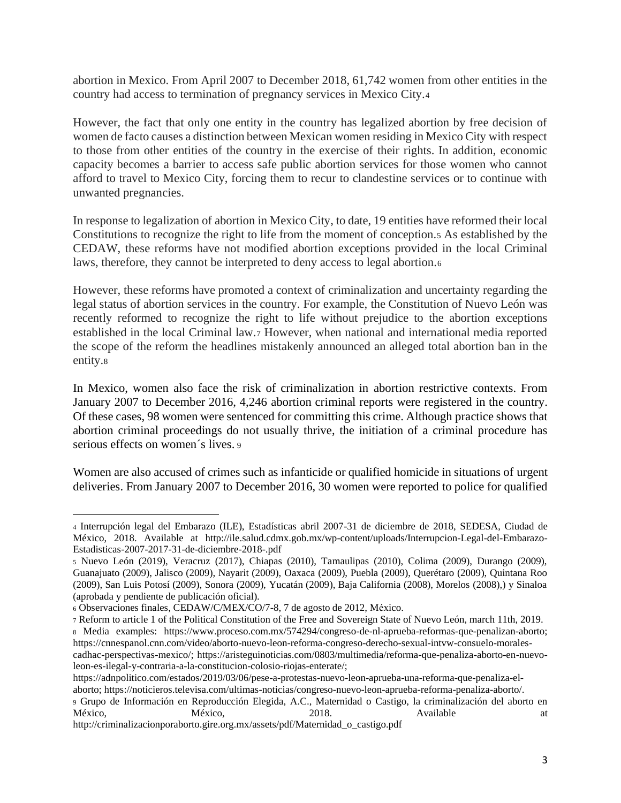abortion in Mexico. From April 2007 to December 2018, 61,742 women from other entities in the country had access to termination of pregnancy services in Mexico City.<sup>4</sup>

However, the fact that only one entity in the country has legalized abortion by free decision of women de facto causes a distinction between Mexican women residing in Mexico City with respect to those from other entities of the country in the exercise of their rights. In addition, economic capacity becomes a barrier to access safe public abortion services for those women who cannot afford to travel to Mexico City, forcing them to recur to clandestine services or to continue with unwanted pregnancies.

In response to legalization of abortion in Mexico City, to date, 19 entities have reformed their local Constitutions to recognize the right to life from the moment of conception.<sup>5</sup> As established by the CEDAW, these reforms have not modified abortion exceptions provided in the local Criminal laws, therefore, they cannot be interpreted to deny access to legal abortion.<sup>6</sup>

However, these reforms have promoted a context of criminalization and uncertainty regarding the legal status of abortion services in the country. For example, the Constitution of Nuevo León was recently reformed to recognize the right to life without prejudice to the abortion exceptions established in the local Criminal law.<sup>7</sup> However, when national and international media reported the scope of the reform the headlines mistakenly announced an alleged total abortion ban in the entity.<sup>8</sup>

In Mexico, women also face the risk of criminalization in abortion restrictive contexts. From January 2007 to December 2016, 4,246 abortion criminal reports were registered in the country. Of these cases, 98 women were sentenced for committing this crime. Although practice shows that abortion criminal proceedings do not usually thrive, the initiation of a criminal procedure has serious effects on women´s lives. <sup>9</sup>

Women are also accused of crimes such as infanticide or qualified homicide in situations of urgent deliveries. From January 2007 to December 2016, 30 women were reported to police for qualified

<sup>4</sup> Interrupción legal del Embarazo (ILE), Estadísticas abril 2007-31 de diciembre de 2018, SEDESA, Ciudad de México, 2018. Available at http://ile.salud.cdmx.gob.mx/wp-content/uploads/Interrupcion-Legal-del-Embarazo-Estadisticas-2007-2017-31-de-diciembre-2018-.pdf

<sup>5</sup> Nuevo León (2019), Veracruz (2017), Chiapas (2010), Tamaulipas (2010), Colima (2009), Durango (2009), Guanajuato (2009), Jalisco (2009), Nayarit (2009), Oaxaca (2009), Puebla (2009), Querétaro (2009), Quintana Roo (2009), San Luis Potosí (2009), Sonora (2009), Yucatán (2009), Baja California (2008), Morelos (2008),) y Sinaloa (aprobada y pendiente de publicación oficial).

<sup>6</sup> Observaciones finales, CEDAW/C/MEX/CO/7-8, 7 de agosto de 2012, México.

<sup>7</sup> Reform to article 1 of the Political Constitution of the Free and Sovereign State of Nuevo León, march 11th, 2019.

<sup>8</sup> Media examples: https://www.proceso.com.mx/574294/congreso-de-nl-aprueba-reformas-que-penalizan-aborto; https://cnnespanol.cnn.com/video/aborto-nuevo-leon-reforma-congreso-derecho-sexual-intvw-consuelo-morales-

cadhac-perspectivas-mexico/; https://aristeguinoticias.com/0803/multimedia/reforma-que-penaliza-aborto-en-nuevoleon-es-ilegal-y-contraria-a-la-constitucion-colosio-riojas-enterate/;

https://adnpolitico.com/estados/2019/03/06/pese-a-protestas-nuevo-leon-aprueba-una-reforma-que-penaliza-el-

aborto; https://noticieros.televisa.com/ultimas-noticias/congreso-nuevo-leon-aprueba-reforma-penaliza-aborto/.

<sup>9</sup> Grupo de Información en Reproducción Elegida, A.C., Maternidad o Castigo, la criminalización del aborto en México, México, 2018. Available at the at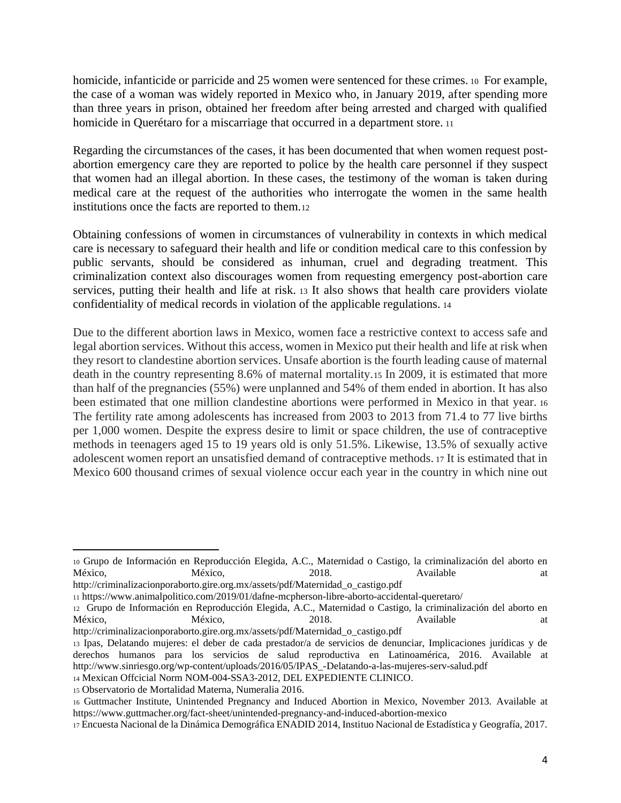homicide, infanticide or parricide and 25 women were sentenced for these crimes. <sup>10</sup> For example, the case of a woman was widely reported in Mexico who, in January 2019, after spending more than three years in prison, obtained her freedom after being arrested and charged with qualified homicide in Querétaro for a miscarriage that occurred in a department store. <sup>11</sup>

Regarding the circumstances of the cases, it has been documented that when women request postabortion emergency care they are reported to police by the health care personnel if they suspect that women had an illegal abortion. In these cases, the testimony of the woman is taken during medical care at the request of the authorities who interrogate the women in the same health institutions once the facts are reported to them.<sup>12</sup>

Obtaining confessions of women in circumstances of vulnerability in contexts in which medical care is necessary to safeguard their health and life or condition medical care to this confession by public servants, should be considered as inhuman, cruel and degrading treatment. This criminalization context also discourages women from requesting emergency post-abortion care services, putting their health and life at risk. <sup>13</sup> It also shows that health care providers violate confidentiality of medical records in violation of the applicable regulations. <sup>14</sup>

Due to the different abortion laws in Mexico, women face a restrictive context to access safe and legal abortion services. Without this access, women in Mexico put their health and life at risk when they resort to clandestine abortion services. Unsafe abortion is the fourth leading cause of maternal death in the country representing 8.6% of maternal mortality.<sup>15</sup> In 2009, it is estimated that more than half of the pregnancies (55%) were unplanned and 54% of them ended in abortion. It has also been estimated that one million clandestine abortions were performed in Mexico in that year. <sup>16</sup> The fertility rate among adolescents has increased from 2003 to 2013 from 71.4 to 77 live births per 1,000 women. Despite the express desire to limit or space children, the use of contraceptive methods in teenagers aged 15 to 19 years old is only 51.5%. Likewise, 13.5% of sexually active adolescent women report an unsatisfied demand of contraceptive methods. <sup>17</sup> It is estimated that in Mexico 600 thousand crimes of sexual violence occur each year in the country in which nine out

<sup>10</sup> Grupo de Información en Reproducción Elegida, A.C., Maternidad o Castigo, la criminalización del aborto en México, México, 2018. Available at

http://criminalizacionporaborto.gire.org.mx/assets/pdf/Maternidad\_o\_castigo.pdf

<sup>11</sup> https://www.animalpolitico.com/2019/01/dafne-mcpherson-libre-aborto-accidental-queretaro/

<sup>12</sup> Grupo de Información en Reproducción Elegida, A.C., Maternidad o Castigo, la criminalización del aborto en México, México, 2018. Available at México, 2018. Available at at

http://criminalizacionporaborto.gire.org.mx/assets/pdf/Maternidad\_o\_castigo.pdf

<sup>13</sup> Ipas, Delatando mujeres: el deber de cada prestador/a de servicios de denunciar, Implicaciones jurídicas y de derechos humanos para los servicios de salud reproductiva en Latinoamérica, 2016. Available at http://www.sinriesgo.org/wp-content/uploads/2016/05/IPAS\_-Delatando-a-las-mujeres-serv-salud.pdf <sup>14</sup> Mexican Offcicial Norm NOM-004-SSA3-2012, DEL EXPEDIENTE CLINICO.

<sup>15</sup> Observatorio de Mortalidad Materna, Numeralia 2016.

<sup>16</sup> Guttmacher Institute, Unintended Pregnancy and Induced Abortion in Mexico, November 2013. Available at https://www.guttmacher.org/fact-sheet/unintended-pregnancy-and-induced-abortion-mexico

<sup>17</sup> Encuesta Nacional de la Dinámica Demográfica ENADID 2014, Instituo Nacional de Estadística y Geografía, 2017.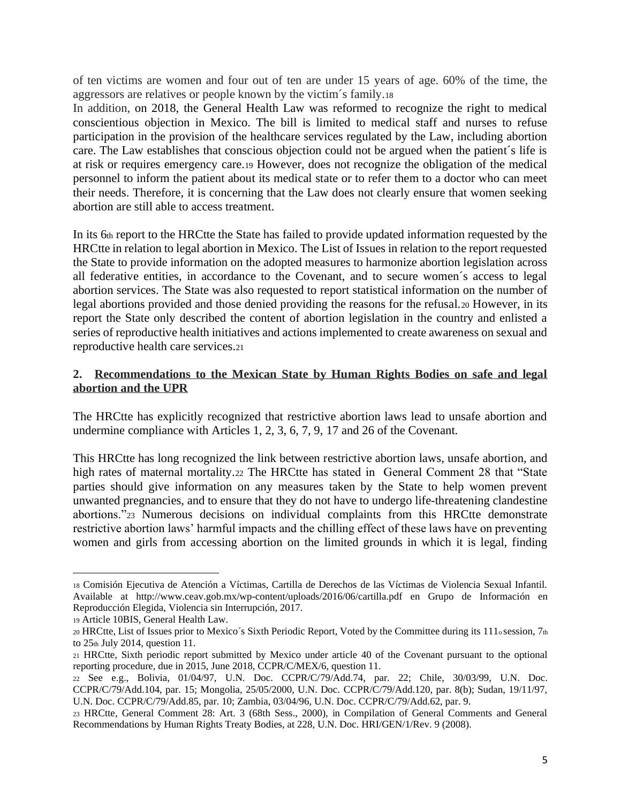of ten victims are women and four out of ten are under 15 years of age. 60% of the time, the aggressors are relatives or people known by the victim´s family.<sup>18</sup>

In addition, on 2018, the General Health Law was reformed to recognize the right to medical conscientious objection in Mexico. The bill is limited to medical staff and nurses to refuse participation in the provision of the healthcare services regulated by the Law, including abortion care. The Law establishes that conscious objection could not be argued when the patient´s life is at risk or requires emergency care.<sup>19</sup> However, does not recognize the obligation of the medical personnel to inform the patient about its medical state or to refer them to a doctor who can meet their needs. Therefore, it is concerning that the Law does not clearly ensure that women seeking abortion are still able to access treatment.

In its 6th report to the HRCtte the State has failed to provide updated information requested by the HRCtte in relation to legal abortion in Mexico. The List of Issues in relation to the report requested the State to provide information on the adopted measures to harmonize abortion legislation across all federative entities, in accordance to the Covenant, and to secure women´s access to legal abortion services. The State was also requested to report statistical information on the number of legal abortions provided and those denied providing the reasons for the refusal.<sup>20</sup> However, in its report the State only described the content of abortion legislation in the country and enlisted a series of reproductive health initiatives and actions implemented to create awareness on sexual and reproductive health care services.<sup>21</sup>

### **2. Recommendations to the Mexican State by Human Rights Bodies on safe and legal abortion and the UPR**

The HRCtte has explicitly recognized that restrictive abortion laws lead to unsafe abortion and undermine compliance with Articles 1, 2, 3, 6, 7, 9, 17 and 26 of the Covenant.

This HRCtte has long recognized the link between restrictive abortion laws, unsafe abortion, and high rates of maternal mortality.<sup>22</sup> The HRCtte has stated in General Comment 28 that "State parties should give information on any measures taken by the State to help women prevent unwanted pregnancies, and to ensure that they do not have to undergo life-threatening clandestine abortions."<sup>23</sup> Numerous decisions on individual complaints from this HRCtte demonstrate restrictive abortion laws' harmful impacts and the chilling effect of these laws have on preventing women and girls from accessing abortion on the limited grounds in which it is legal, finding

<sup>18</sup> Comisión Ejecutiva de Atención a Víctimas, Cartilla de Derechos de las Víctimas de Violencia Sexual Infantil. Available at http://www.ceav.gob.mx/wp-content/uploads/2016/06/cartilla.pdf en Grupo de Información en Reproducción Elegida, Violencia sin Interrupción, 2017.

<sup>19</sup> Article 10BIS, General Health Law.

<sup>20</sup> HRCtte, List of Issues prior to Mexico´s Sixth Periodic Report, Voted by the Committee during its 111o session, 7th to  $25<sub>th</sub>$  July 2014, question 11.

<sup>21</sup> HRCtte, Sixth periodic report submitted by Mexico under article 40 of the Covenant pursuant to the optional reporting procedure, due in 2015, June 2018, CCPR/C/MEX/6, question 11.

<sup>22</sup> See e.g., Bolivia, 01/04/97, U.N. Doc. CCPR/C/79/Add.74, par. 22; Chile, 30/03/99, U.N. Doc. CCPR/C/79/Add.104, par. 15; Mongolia, 25/05/2000, U.N. Doc. CCPR/C/79/Add.120, par. 8(b); Sudan, 19/11/97, U.N. Doc. CCPR/C/79/Add.85, par. 10; Zambia, 03/04/96, U.N. Doc. CCPR/C/79/Add.62, par. 9.

<sup>23</sup> HRCtte, General Comment 28: Art. 3 (68th Sess., 2000), in Compilation of General Comments and General Recommendations by Human Rights Treaty Bodies, at 228, U.N. Doc. HRI/GEN/1/Rev. 9 (2008).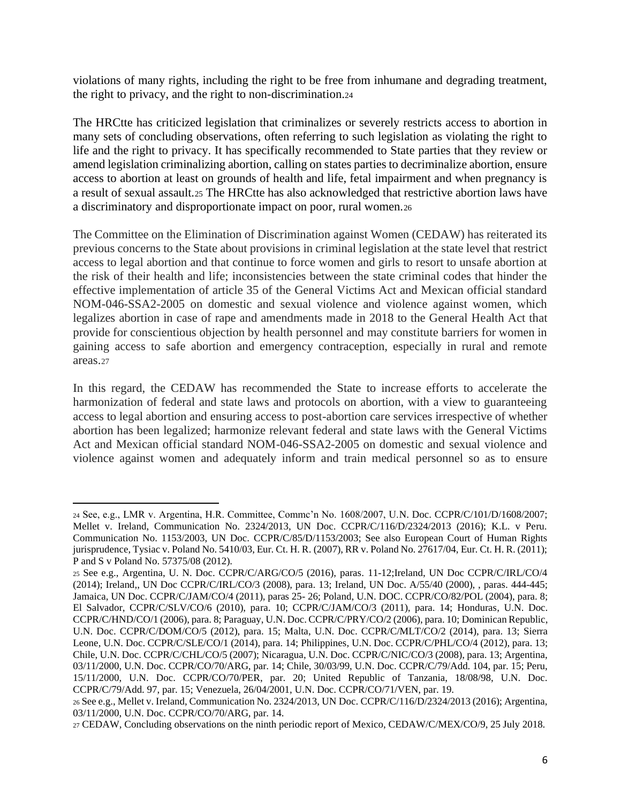violations of many rights, including the right to be free from inhumane and degrading treatment, the right to privacy, and the right to non-discrimination.<sup>24</sup>

The HRCtte has criticized legislation that criminalizes or severely restricts access to abortion in many sets of concluding observations, often referring to such legislation as violating the right to life and the right to privacy. It has specifically recommended to State parties that they review or amend legislation criminalizing abortion, calling on states parties to decriminalize abortion, ensure access to abortion at least on grounds of health and life, fetal impairment and when pregnancy is a result of sexual assault.<sup>25</sup> The HRCtte has also acknowledged that restrictive abortion laws have a discriminatory and disproportionate impact on poor, rural women.<sup>26</sup>

The Committee on the Elimination of Discrimination against Women (CEDAW) has reiterated its previous concerns to the State about provisions in criminal legislation at the state level that restrict access to legal abortion and that continue to force women and girls to resort to unsafe abortion at the risk of their health and life; inconsistencies between the state criminal codes that hinder the effective implementation of article 35 of the General Victims Act and Mexican official standard NOM-046-SSA2-2005 on domestic and sexual violence and violence against women, which legalizes abortion in case of rape and amendments made in 2018 to the General Health Act that provide for conscientious objection by health personnel and may constitute barriers for women in gaining access to safe abortion and emergency contraception, especially in rural and remote areas.<sup>27</sup>

In this regard, the CEDAW has recommended the State to increase efforts to accelerate the harmonization of federal and state laws and protocols on abortion, with a view to guaranteeing access to legal abortion and ensuring access to post-abortion care services irrespective of whether abortion has been legalized; harmonize relevant federal and state laws with the General Victims Act and Mexican official standard NOM-046-SSA2-2005 on domestic and sexual violence and violence against women and adequately inform and train medical personnel so as to ensure

<sup>24</sup> See, e.g., LMR v. Argentina, H.R. Committee, Commc'n No. 1608/2007, U.N. Doc. CCPR/C/101/D/1608/2007; Mellet v. Ireland, Communication No. 2324/2013, UN Doc. CCPR/C/116/D/2324/2013 (2016); K.L. v Peru. Communication No. 1153/2003, UN Doc. CCPR/C/85/D/1153/2003; See also European Court of Human Rights jurisprudence, Tysiac v.Poland No. 5410/03, Eur. Ct. H. R. (2007), RR v. Poland No. 27617/04, Eur. Ct. H. R. (2011); P and S v Poland No. 57375/08 (2012).

<sup>25</sup> See e.g., Argentina, U. N. Doc. CCPR/C/ARG/CO/5 (2016), paras. 11-12;Ireland, UN Doc CCPR/C/IRL/CO/4 (2014); Ireland,, UN Doc CCPR/C/IRL/CO/3 (2008), para. 13; Ireland, UN Doc. A/55/40 (2000), , paras. 444-445; Jamaica, UN Doc. CCPR/C/JAM/CO/4 (2011), paras 25- 26; Poland, U.N. DOC. CCPR/CO/82/POL (2004), para. 8; El Salvador, CCPR/C/SLV/CO/6 (2010), para. 10; CCPR/C/JAM/CO/3 (2011), para. 14; Honduras, U.N. Doc. CCPR/C/HND/CO/1 (2006), para. 8; Paraguay, U.N. Doc. CCPR/C/PRY/CO/2 (2006), para. 10; Dominican Republic, U.N. Doc. CCPR/C/DOM/CO/5 (2012), para. 15; Malta, U.N. Doc. CCPR/C/MLT/CO/2 (2014), para. 13; Sierra Leone, U.N. Doc. CCPR/C/SLE/CO/1 (2014), para. 14; Philippines, U.N. Doc. CCPR/C/PHL/CO/4 (2012), para. 13; Chile, U.N. Doc. CCPR/C/CHL/CO/5 (2007); Nicaragua, U.N. Doc. CCPR/C/NIC/CO/3 (2008), para. 13; Argentina, 03/11/2000, U.N. Doc. CCPR/CO/70/ARG, par. 14; Chile, 30/03/99, U.N. Doc. CCPR/C/79/Add. 104, par. 15; Peru, 15/11/2000, U.N. Doc. CCPR/CO/70/PER, par. 20; United Republic of Tanzania, 18/08/98, U.N. Doc. CCPR/C/79/Add. 97, par. 15; Venezuela, 26/04/2001, U.N. Doc. CCPR/CO/71/VEN, par. 19.

<sup>26</sup>See e.g., Mellet v. Ireland, Communication No. 2324/2013, UN Doc. CCPR/C/116/D/2324/2013 (2016); Argentina, 03/11/2000, U.N. Doc. CCPR/CO/70/ARG, par. 14.

<sup>27</sup> CEDAW, Concluding observations on the ninth periodic report of Mexico, CEDAW/C/MEX/CO/9, 25 July 2018.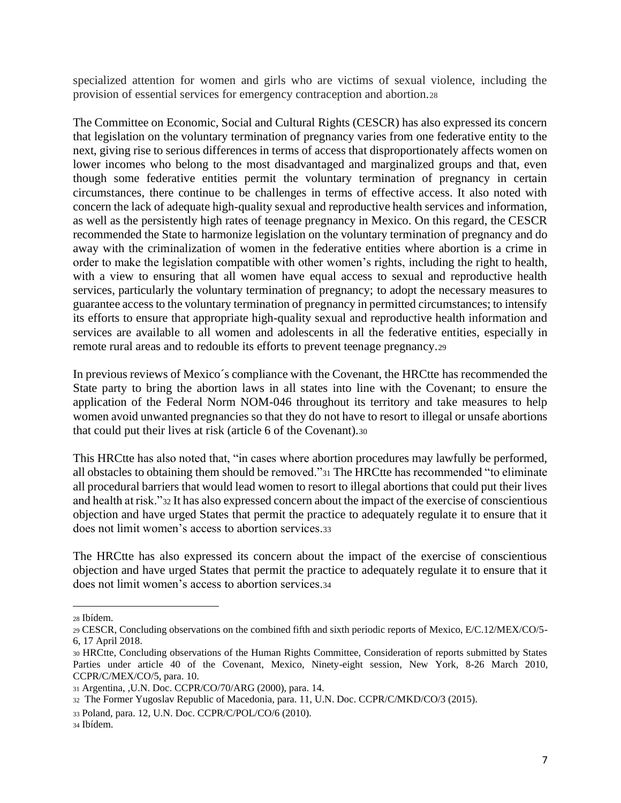specialized attention for women and girls who are victims of sexual violence, including the provision of essential services for emergency contraception and abortion.<sup>28</sup>

The Committee on Economic, Social and Cultural Rights (CESCR) has also expressed its concern that legislation on the voluntary termination of pregnancy varies from one federative entity to the next, giving rise to serious differences in terms of access that disproportionately affects women on lower incomes who belong to the most disadvantaged and marginalized groups and that, even though some federative entities permit the voluntary termination of pregnancy in certain circumstances, there continue to be challenges in terms of effective access. It also noted with concern the lack of adequate high-quality sexual and reproductive health services and information, as well as the persistently high rates of teenage pregnancy in Mexico. On this regard, the CESCR recommended the State to harmonize legislation on the voluntary termination of pregnancy and do away with the criminalization of women in the federative entities where abortion is a crime in order to make the legislation compatible with other women's rights, including the right to health, with a view to ensuring that all women have equal access to sexual and reproductive health services, particularly the voluntary termination of pregnancy; to adopt the necessary measures to guarantee access to the voluntary termination of pregnancy in permitted circumstances; to intensify its efforts to ensure that appropriate high-quality sexual and reproductive health information and services are available to all women and adolescents in all the federative entities, especially in remote rural areas and to redouble its efforts to prevent teenage pregnancy.<sup>29</sup>

In previous reviews of Mexico´s compliance with the Covenant, the HRCtte has recommended the State party to bring the abortion laws in all states into line with the Covenant; to ensure the application of the Federal Norm NOM-046 throughout its territory and take measures to help women avoid unwanted pregnancies so that they do not have to resort to illegal or unsafe abortions that could put their lives at risk (article 6 of the Covenant).<sup>30</sup>

This HRCtte has also noted that, "in cases where abortion procedures may lawfully be performed, all obstacles to obtaining them should be removed."<sup>31</sup> The HRCtte has recommended "to eliminate all procedural barriers that would lead women to resort to illegal abortions that could put their lives and health at risk."<sup>32</sup> It has also expressed concern about the impact of the exercise of conscientious objection and have urged States that permit the practice to adequately regulate it to ensure that it does not limit women's access to abortion services 33

The HRCtte has also expressed its concern about the impact of the exercise of conscientious objection and have urged States that permit the practice to adequately regulate it to ensure that it does not limit women's access to abortion services.<sup>34</sup>

<sup>28</sup> Ibídem.

<sup>29</sup> CESCR, Concluding observations on the combined fifth and sixth periodic reports of Mexico, E/C.12/MEX/CO/5- 6, 17 April 2018.

<sup>30</sup> HRCtte, Concluding observations of the Human Rights Committee, Consideration of reports submitted by States Parties under article 40 of the Covenant, Mexico, Ninety-eight session, New York, 8-26 March 2010, CCPR/C/MEX/CO/5, para. 10.

<sup>31</sup> Argentina, ,U.N. Doc. CCPR/CO/70/ARG (2000), para. 14.

<sup>32</sup> The Former Yugoslav Republic of Macedonia, para. 11, U.N. Doc. CCPR/C/MKD/CO/3 (2015).

<sup>33</sup> Poland, para. 12, U.N. Doc. CCPR/C/POL/CO/6 (2010).

<sup>34</sup> Ibídem.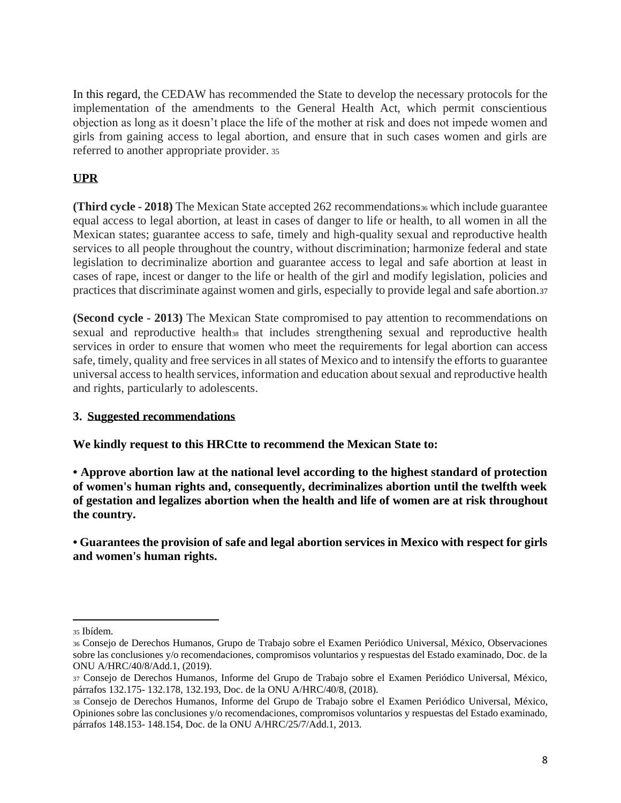In this regard, the CEDAW has recommended the State to develop the necessary protocols for the implementation of the amendments to the General Health Act, which permit conscientious objection as long as it doesn't place the life of the mother at risk and does not impede women and girls from gaining access to legal abortion, and ensure that in such cases women and girls are referred to another appropriate provider. <sup>35</sup>

# **UPR**

**(Third cycle - 2018)** The Mexican State accepted 262 recommendations<sup>36</sup> which include guarantee equal access to legal abortion, at least in cases of danger to life or health, to all women in all the Mexican states; guarantee access to safe, timely and high-quality sexual and reproductive health services to all people throughout the country, without discrimination; harmonize federal and state legislation to decriminalize abortion and guarantee access to legal and safe abortion at least in cases of rape, incest or danger to the life or health of the girl and modify legislation, policies and practices that discriminate against women and girls, especially to provide legal and safe abortion.<sup>37</sup>

**(Second cycle - 2013)** The Mexican State compromised to pay attention to recommendations on sexual and reproductive health<sub>38</sub> that includes strengthening sexual and reproductive health services in order to ensure that women who meet the requirements for legal abortion can access safe, timely, quality and free services in all states of Mexico and to intensify the efforts to guarantee universal access to health services, information and education about sexual and reproductive health and rights, particularly to adolescents.

## **3. Suggested recommendations**

**We kindly request to this HRCtte to recommend the Mexican State to:**

**• Approve abortion law at the national level according to the highest standard of protection of women's human rights and, consequently, decriminalizes abortion until the twelfth week of gestation and legalizes abortion when the health and life of women are at risk throughout the country.** 

**• Guarantees the provision of safe and legal abortion services in Mexico with respect for girls and women's human rights.**

<sup>35</sup> Ibídem.

<sup>36</sup> Consejo de Derechos Humanos, Grupo de Trabajo sobre el Examen Periódico Universal, México, Observaciones sobre las conclusiones y/o recomendaciones, compromisos voluntarios y respuestas del Estado examinado, Doc. de la ONU A/HRC/40/8/Add.1, (2019).

<sup>37</sup> Consejo de Derechos Humanos, Informe del Grupo de Trabajo sobre el Examen Periódico Universal, México, párrafos 132.175- 132.178, 132.193, Doc. de la ONU A/HRC/40/8, (2018).

<sup>38</sup> Consejo de Derechos Humanos, Informe del Grupo de Trabajo sobre el Examen Periódico Universal, México, Opiniones sobre las conclusiones y/o recomendaciones, compromisos voluntarios y respuestas del Estado examinado, párrafos 148.153- 148.154, Doc. de la ONU A/HRC/25/7/Add.1, 2013.